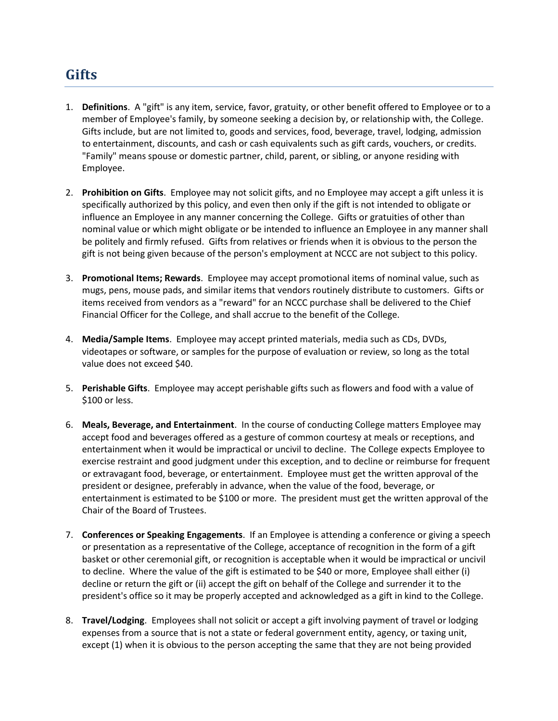## **Gifts**

- 1. **Definitions**. A "gift" is any item, service, favor, gratuity, or other benefit offered to Employee or to a member of Employee's family, by someone seeking a decision by, or relationship with, the College. Gifts include, but are not limited to, goods and services, food, beverage, travel, lodging, admission to entertainment, discounts, and cash or cash equivalents such as gift cards, vouchers, or credits. "Family" means spouse or domestic partner, child, parent, or sibling, or anyone residing with Employee.
- 2. **Prohibition on Gifts**. Employee may not solicit gifts, and no Employee may accept a gift unless it is specifically authorized by this policy, and even then only if the gift is not intended to obligate or influence an Employee in any manner concerning the College. Gifts or gratuities of other than nominal value or which might obligate or be intended to influence an Employee in any manner shall be politely and firmly refused. Gifts from relatives or friends when it is obvious to the person the gift is not being given because of the person's employment at NCCC are not subject to this policy.
- 3. **Promotional Items; Rewards**. Employee may accept promotional items of nominal value, such as mugs, pens, mouse pads, and similar items that vendors routinely distribute to customers. Gifts or items received from vendors as a "reward" for an NCCC purchase shall be delivered to the Chief Financial Officer for the College, and shall accrue to the benefit of the College.
- 4. **Media/Sample Items**. Employee may accept printed materials, media such as CDs, DVDs, videotapes or software, or samples for the purpose of evaluation or review, so long as the total value does not exceed \$40.
- 5. **Perishable Gifts**. Employee may accept perishable gifts such as flowers and food with a value of \$100 or less.
- 6. **Meals, Beverage, and Entertainment**. In the course of conducting College matters Employee may accept food and beverages offered as a gesture of common courtesy at meals or receptions, and entertainment when it would be impractical or uncivil to decline. The College expects Employee to exercise restraint and good judgment under this exception, and to decline or reimburse for frequent or extravagant food, beverage, or entertainment. Employee must get the written approval of the president or designee, preferably in advance, when the value of the food, beverage, or entertainment is estimated to be \$100 or more. The president must get the written approval of the Chair of the Board of Trustees.
- 7. **Conferences or Speaking Engagements**. If an Employee is attending a conference or giving a speech or presentation as a representative of the College, acceptance of recognition in the form of a gift basket or other ceremonial gift, or recognition is acceptable when it would be impractical or uncivil to decline. Where the value of the gift is estimated to be \$40 or more, Employee shall either (i) decline or return the gift or (ii) accept the gift on behalf of the College and surrender it to the president's office so it may be properly accepted and acknowledged as a gift in kind to the College.
- 8. **Travel/Lodging**. Employees shall not solicit or accept a gift involving payment of travel or lodging expenses from a source that is not a state or federal government entity, agency, or taxing unit, except (1) when it is obvious to the person accepting the same that they are not being provided